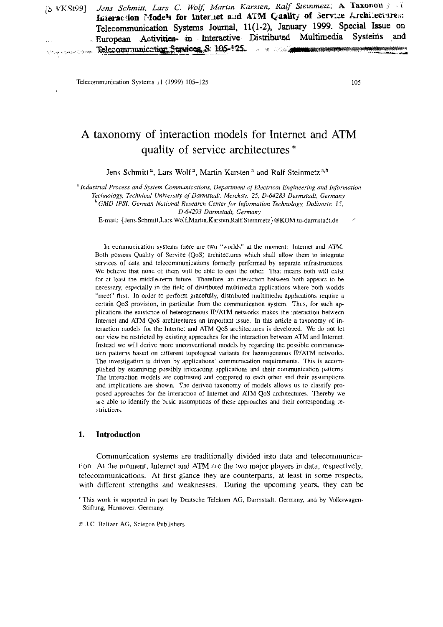|                | [S VKSt99] Jens Schmitt, Lars C. Wolf, Martin Karsten, Ralf Steinmetz; A Taxonon J |
|----------------|------------------------------------------------------------------------------------|
|                | Interaction Models for Internet and ATM Quality of Service Architectures:          |
|                | Telecommunication Systems Journal, 11(1-2), January 1999. Special Issue on         |
| $\sim 10^{-1}$ | - European Activities- in Interactive Distributed Multimedia Systems and           |
|                | Telecommunication Services S 105-125.                                              |

Telecommunication Systems 11 (1999) 105-125 105

# A taxonomy of interaction models for Internet and ATM quality of service architectures \*

Jens Schmitt<sup>a</sup>, Lars Wolf<sup>a</sup>, Martin Karsten<sup>a</sup> and Ralf Steinmetz<sup>a,b</sup>

*"I~idurtrial Process and Sysrern Cornrnunicario~is, Deparrmenr uf Elecrrical Enyirieerirrg arid Ipfbrniario,~* 

Technology, Technical University of Darmstadi, Merckstr. 25, D-64283 Darmstadt, Germany <sup>*b*</sup> GMD IPSI, German National Research Center for Information Technology, Dolivostr. 15.

*0.64293 Darrnsiadr, Germany* 

E-mail: **{lens.Schmitt,Lars.WoIf,Martin.Karsten.Ralf,Steinmetz}@KOM.tu-damstadt,de** ,'

In eommunication systems there are two "worlds" at the moment: Internet and ATM. Both possess Quality of Serviee (QoS) architectures which shall allow them to integrale services of data and telecommunications formerly performed by separate infrastructures. We believe that none of them will be able to oust the other. That means both will exist for at least the middle-term fuiure. Therefore, **an** interaction between both appcars to be necessary, especially in the field of distributed multimedia applications **where** both worlds "meet" first. In order to perform gracefully, distributed mullimedia applications require a certain QoS provision, in particular from the communication System. Thus, for such applications the existence of heterogeneous IP/ATM networks makes the interaction between Internet and ATM QoS architeetures an important issue. In this article a taxonomy of interaction models for the lnternet and ATM QoS arcliitectures is developed. We do not let our view be restricted by existing approaches for the interaction between ATM and Internet. Instead we will derive more unconventional rnodels by regarding ihe possible communication patterns based on different topological variants for heterageneour IPIATM netwarks. The investigation is driven by applications' communication requirernenrs. This is accomplished by examining possibly interacting applications and their communication patterns. The interaction models are contrasted and compared to each other and their assumptions and implications are shown. The derived taxonomy of models allows us to classify pro-<br>posed approaches for the interaction of Internet and ATM OoS architectures. Thereby we are able to identify the basic assumptions of these approaches and their corresponding restrictions.

# **1. Introduction**

Communication systems are traditionally divided into data and telecommunication. At the moment, Internet and ATM are the two major players in data, respectively, telecommunications. At first glance they are Counterparts, at least in some respects, with different strengths and weaknesses. During the upcoming years, they can be

0 J.C. Baltzer AG, Science Publishers

<sup>&#</sup>x27; This work is supported in part by Deutsche Telekom AG, Darmstadt, Germany, and by Volkswagen-Stiflung, Hannover, Germany.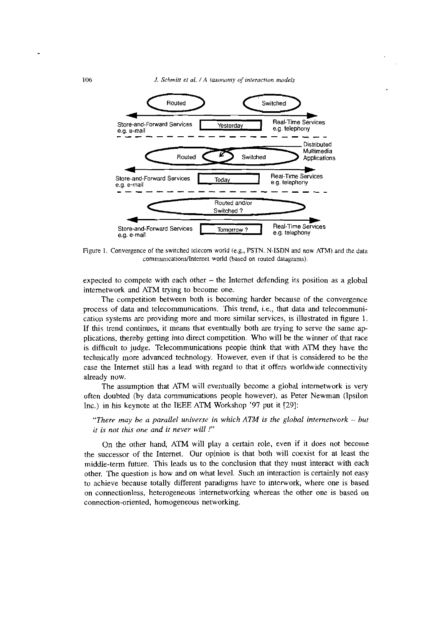J. Schmitt et al. / A taxonomy of interaction models



**Figure** 1. **Convergence of rhe switched Lelecorn world (e.g.. PSTN, N-ISDN and now ATM) and the data**  cornmunications/lnternet **world (based on routed daiagrams).** 

expected to compete with each other  $-$  the Internet defending its position as a global internetwork and ATM trying to become one.

The competition between both is becorning harder because of the convergence process of data and telecommunications. This trend, i.e., that data and telecommunication Systems are providing more and more similar services, is illustrated in figure 1. **If** this trend continues, it means that eventually both are trying to serve the same applications, thereby getting into direct competition. Who will be the winner of that race is difficult to judge. Telecommunications people think that with ATM they have the technically more advanced technology. However, even if that is considered to be the case the Intemet still **has** a lead with regard to diat it offers worldwide connectivity already now.

The assumption that ATM will eventually become a global intemetwork is very often doubted (by data communications people however). as Peter Newman (Ipsilon Inc.) in his keynote at the IEEE **ATM** Workshop '97 put it [29]:

*"There may be a parallel universe in which ATM* **is** *the global infernefwork* - *birt it is not this one and it never will* !"

On the other hand, **ATM** will play a certain role, even if it does not become the successor of the Intemet. Our opinion is that both will coexist for at least the middle-tem future. This leads us to the conclusion that they rnust interact with each other. The question is how and on what level. Such an interaction is certainly not easy to achieve because totally different paradigrns have to interwork, where one is based on connectionless, heterogeneous intemetworking whereas the other one is based on connection-oriented, homogeneous networking.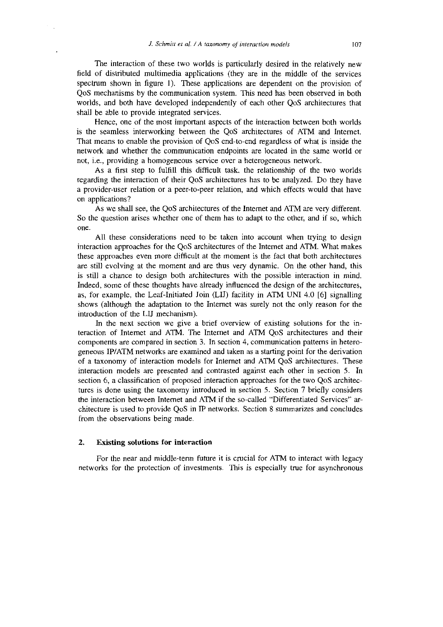The interaction of these two worlds is particularly desired in the relatively new field of distributed multimedia applications (they are in the middle of the services spectrum shown in figure **1).** These applications are dependent on the provision of QoS mechanisms by the communication System. This need has been observed in both worlds, and both have developed independently of each other QoS architectures that shall be able to provide integrated services.

Hence, one of the most important aspects of the interaction between both worlds is the seamless interworking between the QoS architectures of ATM and Internet. That means to enable the provision of QoS end-to-end regardless of what is inside the network and whether the communication endpoints are located in the Same world or not, i.e., providing a homogeneous service over a heterogeneous network.

As a first step to fulfill this difficult task. the relationship of the two worlds regarding the interaction of their QoS architectures has to be analyzed. Do they have a provider-user relation or a peer-to-peer relation, and which effects would that have on applications?

As we shall see, the QoS architectures of the Internet and ATM are very different. So the question arises whether one of them has to adapt to the other, and if so, which one.

All these considerations need to be taken into account when trying to design interaction approaches for the QoS architectures of the Internet and ATM. What makes these approaches even more difficult at the moment is the fact that both architectures are still evolving at the moment and are thus very dynamic. On the other hand, this is still a chance to design both architectures with the possible interaction in mind. Indeed, some of these thoughts have already influenced the design of the architectures, as, for example, the Leaf-Initiated Join (LIJ) facility in ATM UNI 4.0 [6] signalling shows (although the adaptation to the Internet was surely not the only reason for the introduction of the LIJ mechanism).

In the next section we give a brief overview of existing solutions for the interaction of Internet and ATM. The Internet and ATM QoS architectures and their components are compared in section **3.** In section 4, communication Patterns in heterogeneous IPIATM networks are examined and taken as a stating point for the derivation of a taxonomy of interaction models for Internet and ATM QoS architectures. These interaction models are presented and contrasted against each other in section *5.* In section 6, a classification of proposed interaction approaches for the two QoS architectures is done using the taxonomy introduced in section 5. Section 7 briefly considers the interaction between Internet and ATM if the so-called "Differentiated Services" architecture is used to provide QoS in IP networks. Section 8 summarizes and concludes from the observations being made.

## **2. Existing solutions for interaction**

For the near and middle-term future it is crucial for ATM to interact with legacy networks for the protection of investments. This is especially txue for asynchronous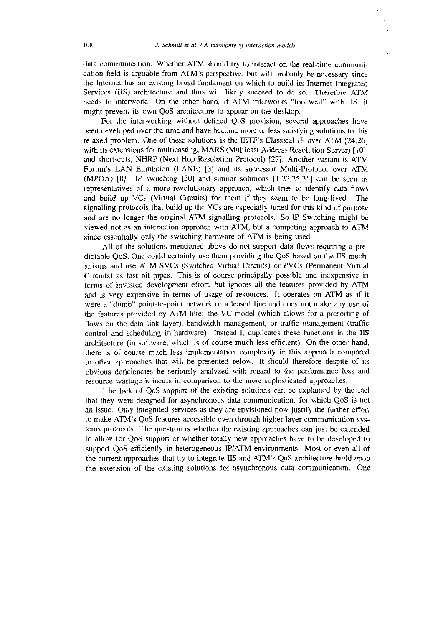data communication. Whether ATM should try to interact on the real-time communication field is arguable from ATM's perspective, but will probably be necessary since the Intemet has an existing broad fundament on which to build its Intemet Integrated Services (IIS) architecture and thus will likely succeed to do so. Therefore ATM needs to intenvork. On the other hand, if ATM interworks "too well" with IIS. it might prevent its own OoS architecture to appear on the desktop.

For the interworking without defined QoS provision. several approaches have been developed over the time and have become more or less satisfying solutions to this relaxed problem. One of these solutions is the IETF's Classical IP over ATM [24,26] with its extensions for multicasting, MARS (Multicast Address Resolution Server) [10]. and short-cuts. NHRP (Next Hop Resolution Protocol) *[27].* Another variant is ATM Fomm's LAN Emulation (LANE) [3] and its successor Multi-Protocol over ATM  $(MPOA)$  [8]. IP switching [30] and similar solutions  $[1,23,25,31]$  can be seen as representatives of a more revolutionary approach, which tries to identify data flows and build up VCs (Virtual Circuits) for them if they seem to be long-lived. The signalling protocols that build up the VCs are especially tuned for this kind of purpose and are no longer the original ATM signalling protocols. So IP Switching might be viewed not as an interaction approach with ATM, but a competing approach to ATM since essentially only the switching hardware of ATM is being used.

All of the solutions mentioned above do not support data flows requiring a pre- $\mu$  dictable  $\Omega$ oS. One could certainly use them providing the  $\Omega$ oS based on the IIS mechanisms and use ATM SVCs (Switched Virtual Circuits) or PVCs (Permanent Virtual Circuits) as fast bit pipes. This is of course principally possible and inexpensive in terms of invested development effort, but ignores all the features provided by ATM and is very expensive in terms of usage of resources. It operates on ATM as if it were **a** "dumb" point-to-point network or a leased line and does not make any use of the features provided by ATM like: the VC model (which allows for a presoning of flows on the data link layer), bandwidth management, or traffic management (traffic control and scheduling in hardware). Instead il duplicates these functions in the IIS architecture (in software, which is of course much less efficient). On the other hand, there in of course much less implementation complexity in this approach compared to other approaches that will be presented below. It should therefore despite of its obvious deficiencies be seriously analyzed with regard to the performance loss and resource wastage it incurs in comparison to the more sophisticated approaches.

The lack of QoS support of the existing solutions can be explained by the fact that they were designed for asynchronous data communication, for which QoS is not an issue. Only integrated services as they are envisioned now justify the further effort to make ATM's QoS features accessible even through higher layer communication systems protocols. The question is whether the existing approaches can just be extended to allow for QoS support or whether totally new approaches have to be developed to support QoS efficiently in heterogeneous IPlATM environments. Most or even all of the current approaches that try to iritegrate IIS and ATM's QoS architecture build upon the extension of the existing solutions for asynchronous data communication. One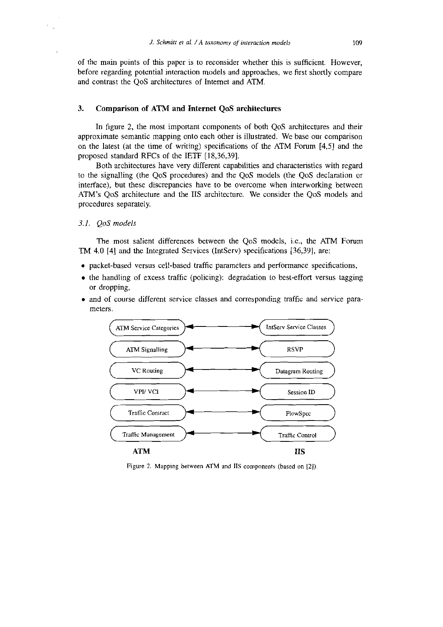of the main points of this paper is to reconsider whether this is sufficient. However, before regarding potential interaction models and approaches. we first shortly compare and contrast the QoS architectures of Intemet and ATM.

# **3. Comparison of ATM and Internet QoS architectures**

In figure *2,* the most important components of both QoS architectures and their approximate semantic mapping onto each other is illustrated. We base our comparison on the latest (at the time of wnting) specifications of the ATM Forum [4,5] and the proposed standard RFCs of the IETF [18,36,39].

Both architectures have very different capabilities and charactenstics with regard to the signalling (the QoS procedures) and the QoS models (the QoS declaration or interface), but these discrepancies have to be overcome when interworking between ATM's QoS architecture and the IIS architecture. We consider the QoS models and procedures separately.

## *3.1. QoS modeis*

The most salient differences between the QoS models, i.e., the ATM Forum TM 4.0 [4] and ihe Integrated Services (IntServ) specifications [36,39], are:

- packet-based versus cell-based Iraffic Parameters and perfomance specifications,
- the handling of excess traffic (policing): degradation to best-effort versus tagging or dropping,
- and of course different service classes and corresponding traffic and service parameters.



Figure 2. Mapping between ATM and IIS componenrs (based on **[2])**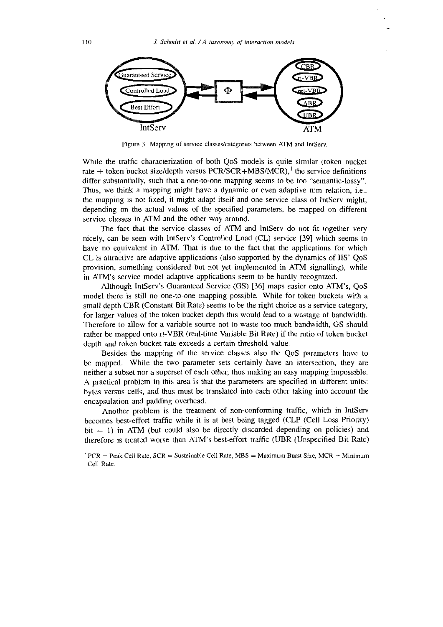

Figure 3. Mapping of servicc classes/categories between ATM and IntServ.

While the traffic characterization of both QoS models is quite similar (token bucket rate  $+$  token bucket size/depth versus PCR/SCR+MBS/MCR),<sup>1</sup> the service definitions differ substantially, such that a one-to-one mapping seems to be too "semantic-lossy". Thus, we think a mapping might have a dynamic or even adaptive n:m relation, i.e.. the mapping is not fixed, it might adapt itself and one service class of IntServ might, depending on the actual values of the specified parameters. be mapped on different service classes in ATM and the other way around.

The fact that the service classes of ATM and lntServ do not fit together very nicely, can be seen with lntserv's Controlled Load (CL) service [39] which seems to have no equivalent in ATM. That is due to the fact that the applications for which CL is attractive are adaptive applications (also supported by the dynamics of 11s' QoS provision, something considered but not yet implemented in ATM signalling), while in ATM's service model adaptive applications seem to be hardly recognized.

Although IntServ's Guaranteed Service (GS) [36] maps easier onto KrM's, QoS model there is still no one-to-one mapping possible. While for token buckets with a small depth CBR (Constant Bit Rate) seems to be the right choice as a service category, for larger values of the token bucket depth this would lead to a wastage of bandwidth. Therefore to allow for a variable source not to waste too much bandwidth, GS should rather be mapped onto rt-VBR (real-time Variable Bit Rate) if the ratio of token buckei depth and token bucket rate exceeds a certain threshold value.

Besides the mapping of the service classes also the QoS parameters have to be mapped. While the two parameter sets certainly have an intersection, they are neither a subset nor a superset of each other, thus making an easy mapping impossible. **A** practical problem in this area is that the parameters are specified in different uuits: bytes versus cells, and thus must be translated into each other taking into account the encapsulation and padding overhead.

Another problem is the treatment of non-confoming traffic, which in IntServ becomes best-effort traffic while it is at best being tagged (CLP (Cell Loss Priority)  $bit = 1$ ) in ATM (but could also be directly discarded depending on policies) and therefore is treated worse than ATM's best-effort traffic (UBR (Unspecified Bit Rate)

<sup>&</sup>lt;sup>1</sup> PCR = Peak Cell Rate,  $SCR =$  Sustainable Cell Rate, MBS = Maximum Burst Size, MCR = Minimum Cell Rate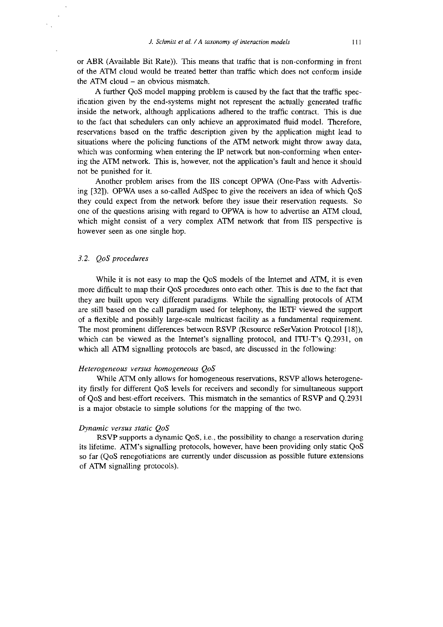or ABR (Available Bit Rate)). This means that traffic that is non-confoming in front of the ATM cloud would be treated better than traffic which does not confom inside the  $ATM$  cloud  $-$  an obvious mismatch.

A further QoS model mapping problem is caused by the fact that the traffic specification given by the end-systems might not represent the actually generated traffic inside the network, although applications adhered to the traffic contract. This is due to the fact that schedulers can only achieve an approximated fluid model. Therefore, reservations based on the traffic description given by the application might lead to situations where the policing functions of the ATM network might throw away data, which was conforming when entering the IP network but non-conforming when entering the ATM network. This is, however, not the application's fault and hence it should not be punished for it.

Another problem arises from the IIS concept OPWA (One-Pass with Advertising [32]). OPWA uses a so-called AdSpec to give the receivers an idea of which QoS they could expect from the network before they issue their reservation requests. So one of the questions arising with regard to OPWA is how to advertise an ATM cloud, which might consist of a very complex ATM network that from IIS perspective is however seen as one single hop.

# 3.2. OoS procedures

While it is not easy to map the QoS models of the Intemet and ATM, it is even more difficult to map their QoS procedures onto each other. This is due to the fact that they are built upon very different paradigms. While the signalling protocols of ATM are still based on the call paradigm used for telephony, the IETF viewed the support of a flexible and possibly large-scale multicast facility as a fundamental requirement. The most prominent differences between RSVP (Resource reSerVation Protocol [18]), which can be viewed as the Internet's signalling protocol, and ITU-T's Q.2931, on which all ATM signalling protocols are based, are discussed in the following:

#### *Heterogeneous versus homogeneous QoS*

While ATM only allows for homogeneous reservations, RSVP allows heterogeneity firstly for different QoS levels for receivers and secondly for simultaneous support of QoS and best-effort receivers. This mismatch in the semantics of RSVP and Q.2931 is a major obstacle to simple solutions for the mapping of the two.

## *Dynamic versus static QoS*

RSVP supports a dynamic QoS, i.e., the possibility to change a reservation during its lifetime. ATM's signalling protocols, however, have been providing only static QoS so far (QoS renegotiations are currently under discussion as possible future extensions of ATM signalling protocols).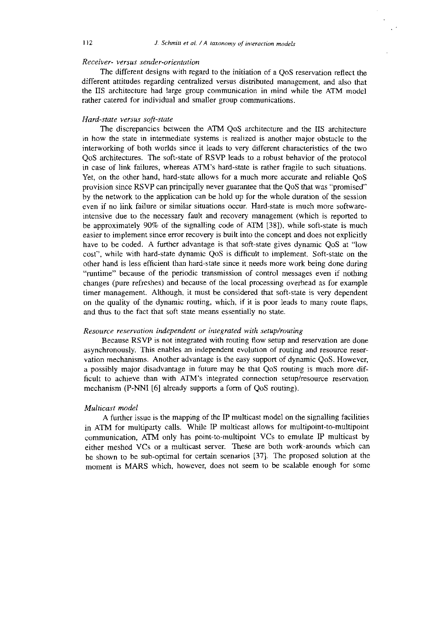#### *Receiver- versus sender-orientarion*

The different designs with regard to the initiation of a QoS reservation reflect the different attitudes regarding centralized versus distnbuted management, and also that the IIS architecture had large group communication in mind while the ATM model rather catered for individual and smaller group communications.

#### *Hard-state versus sufr-state*

The discrepancies between the ATM QoS architecture and the IIS architecture in how the state in intermediate Systems is realized is another major obstacle to the interworking of both worlds since it leads to very different characteristics of the two QoS architectures. The soft-state of RSVP leads to a robust behavior of the protocol in case of link failures, whereas ATM's hard-state is rather fragile to such situations. Yet, on the other hand, hard-state allows for a much more accurate and reliable QoS provision since RSVP can principally never guarantee that the QoS that was "promised" by the network to the application can be hold up for the whole duration of the session even if no link failure or similar situations occur. Hard-state is much more softwareintensive due to the necessary fault and recovery management (which is reported to be approximately 90% of the signalling code of ATM [38]), while soft-state is much easier to implement since error recovery is built into the concept and does not explicitly have to be coded. A further advantage is that soft-state gives dynamic QoS at "low cost", while with hard-state dynamic QoS is difficult to implement. Soft-state on the other hand is less efficient than hard-state since it needs more work being done during "mntime" because of the penodic transmission of control messages even if nothing changes (pure refreshes) and because of the local processing overhead as for example timer management. Although, it must be considered that soft-state is very dependent on the quality of the dynamic routing, which, if it is poor leads to many route Raps, and thus to the fact that soft state means essentially no state.

#### *Resource reservation independent or iritegrated with setup/routing*

Because RSVP is not integrated with routing flow setup and reservation are done asynchronously. This enahles an independent evolution of routing and resource reservation mechanisms. Another advantage is the easy support of dynamic QoS. However, a possibly major disadvantage in future may be that QoS routing is much more difficult to achieve than with MM's integrated connection setup/resource reservation mechanism (P-NNI [6] already supports a form of QoS routing).

#### *Multicast model*

A further issue is the mapping of the IP multicast model on the signalling facilities in ATM for multiparty calls. While IP multicast allows for multipoint-to-multipoint communication, ATM only has point-to-multipoint VCs to emulate IP multicast by either meshed VCs or a multicast Server. These are both work-arounds which can be shown to be sub-optimal for certain scenarios [37]. The proposed solution at the moment is MARS which, however, does not seem to be scalable enough for some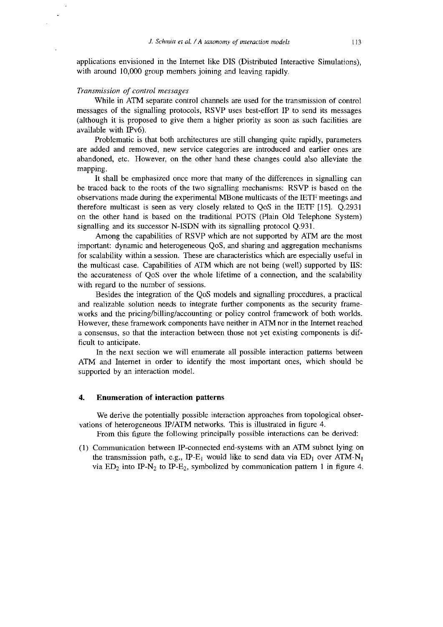applications envisioned in the Intemet like DIS (Distributed Interactive Simulations), with around 10,000 group members joining and leaving rapidly.

#### *Transmission* of *control messages*

While in ATM separate control channels are used for the transmission of control messages of the signalling protocols, RSVP uses best-effort IP to send its messages (although it is proposed to give them a higher priority as soon **as** such facilities are available with iPv6).

Problematic is that both architectures are still changing quite rapidly, parameters are added and removed, new service categories are introduced and earlier ones are abandoned, etc. However, on the other hand these changes could also alleviate the mapping.

It shall be emphasized once more that many of the differences in signalling can be traced back to the roots of the two signalling mechanisms: RSVP is based on the observations made during the experimental MBone multicasts of the IETF meetings and therefore multicast is seen as very closely related to QoS in the IETF **[15].** Q.2931 on the other hand is based on the traditional POTS (Plain Old Telephone System) signalling and its successor N-ISDN with its signalling protocol Q.931.

Among the capabilities of RSVP which are not supported by ATM are the most important: dynamic and heterogeneous QoS, and sharing and aggregation mechanisms for scalability within a session. These are characteristics which are especially useful in the multicast case. Capabilities of ATM which are not being (well) supported by IIS: the accurateness of QoS over the whole lifetime of a connection, and the scalability with regard to the number of sessions.

Besides the integration of the QoS models and signalling procedures, a practical and realizable solution needs to integrate further components as the security frameworks and the **pricing/billing/accounting** or policy control framework of both worlds. However, these framework components have neither in ATM nor in the Intemet reached a Consensus, so that the interaction between those not yet existing components is difficult to anticipate.

In the next section we will enumerate all possible interaction pattems between ATM and Intemet in order to identify the most important ones, which should be supported by an interaction model.

#### **4. Enumeration of interaction patterns**

We derive the potentially possible interaction approaches from topological observations of heterogeneous IP/ATM networks. This is illustrated in figure 4.

From this figure the following principally possible interactions can be derived:

(1) Communication between IP-connected end-systems with an ATM subnet lying on the transmission path, e.g., IP-E<sub>1</sub> would like to send data via  $ED_1$  over  $ATM-N_1$ via  $ED_2$  into IP-N<sub>2</sub> to IP-E<sub>2</sub>, symbolized by communication pattern 1 in figure 4.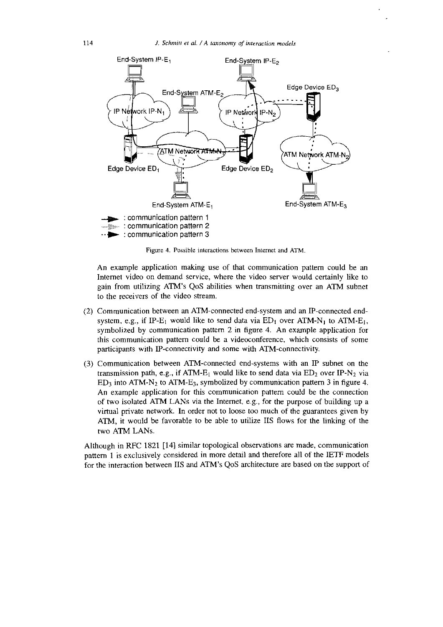

**Figure 4. Possible interactions between Internet and ATM.** 

An example application making use of that communication pattern could be an Internet video on demand service, where the video server would certainly like to gain from utilizing ATM's QoS abilities when transmitting over an ATM subnet to the receivers of the video stream.

- **(2)** Communication between an ATM-connected end-system and an IP-connected endsystem, e.g., if IP-E<sub>1</sub> would like to send data via  $ED_1$  over ATM-N<sub>1</sub> to ATM-E<sub>1</sub>, symbolized by communication pattem **2** in figure **4.** An example application for this communication pattem could be a videoconference, which consists of some participants with IP-connectivity and some with ATM-connectivity.
- **(3)** Communication between ATM-connected end-systems with an IP subnet on the transmission path, e.g., if ATM-E<sub>1</sub> would like to send data via  $ED_2$  over IP-N<sub>2</sub> via ED3 into ATM-N2 to ATM-Ei, symbolized by communication pattem **3** in figure **4.**  An example application for this communication pattem could be the connection of two isolated ATM L.ANs via the Intemet, e.g., for the purpose of building up a vimial private network. In order not to loose too much of the guarantees given by ATM, it would be favorable to be able to utilize IIS flows for the linking of the two ATM LANs.

Although in RFC **1821 1141** similar topological observations are made, communication pattern **1** is exclusively considered in more detail and therefore all of the IETF models for the interaction between IIS and ATM's QoS architecture are based on the support of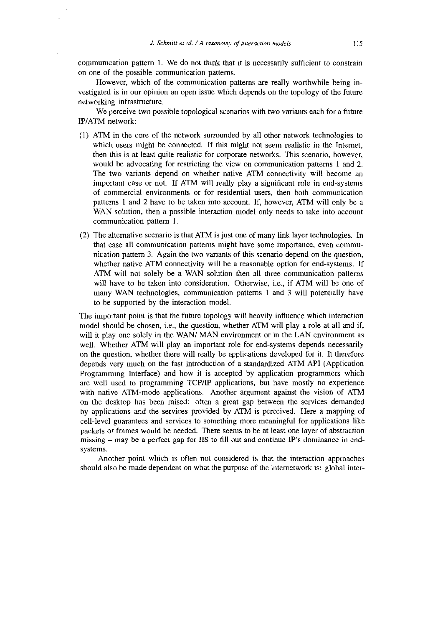communication pattern I. We do not think that it is necessarily sufficient to constrain on one of the possible communication patterns.

However, which of the communication patterns are really worthwhile being investigated is in our opinion an Open issue which depends on the topology of the future networking infrastmcture.

We perceive two possible topological scenarios with two variants each for a future IPIATM network:

- (1) ATM in the core of the network surrounded by all other network technologies to which users might be connected. If this might not seem realistic in the Internet, then this is at least quite realistic for corporate networks. This scenario, however, would be advocating for restricting the view on communication patterns 1 and 2. The two variants depend on whether native ATM connectivity will become an important case or not. If ATM will really play a significant role in end-systems of commercial environments or for residential users, then both communication patterns I and 2 have to be taken into account. If, however, ATM will only be a WAN solution, then a possible interaction model only needs to take into account communication pattern 1.
- (2) The alternative scenario is that ATM is just one of many link layer technologies. In that case all communication patterns might have some importance, even communication pattern 3. Again the two variants of this scenario depend on the question, whether native ATM connectivity will be a reasonable option for end-systems. If ATM will not solely be a WAN solution then all three communication patterns will have to be taken into consideration. Otherwise, i.e., if ATM will be one of many WAN technologies, communication patterns I and 3 will potentially have to be supported by the interaction model.

The important point is that the future topology will heavily influence which interaction model should be chosen. i.e., the question, whether ATM will play a role at all and if, will it play one solely in the WAN/ MAN environment or in the LAN environment as well. Whether ATM will play an important role for end-systems depends necessarily on the question, whether there will really be applications developed for it. It therefore depends very much on the fast introduction of a standardized ATM API (Application Programming Interface) and how it is accepted by application programmers which are well used to programming TCP/IP applications, but have mostly no experience with native ATM-mode applications. Another argument against the vision of ATM on the desktop has been raised: often a great gap between the services demanded by applications and the services provided by ATM is perceived. Here a mapping of cell-level guarantees and services to something more meaningful for applications like packets or frames would be needed. There seems to be at least one layer of abstraction missing - may be **a** perfect gap for IIS to fill out and continue IP's dominance in end-Systems.

Another point which is often not considered is that the interaction approaches should also be made dependent on what the purpose of the intemetwork is: global inter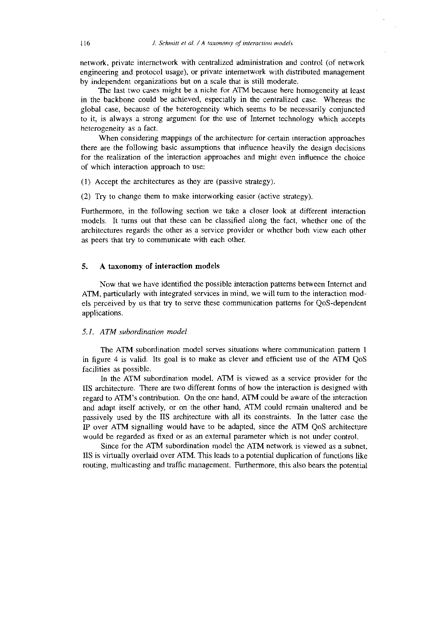network, private internetwork with centralized administration and control (of network engineering and protocol usage), or private internetwork with distributed management by independent organizations but on a scale that is still moderate.

The last two cases might be a niche for ATM because here homogeneity at least in the backbone could be achieved, especially in the centralized case. Whereas the global case, because of the heterogeneity which seerns to be necessarily conjuncted to it, is always a strong argurnent for the use of Internet technology which accepts heterogeneity as a fact.

When considering mappings of the architecture for certain interaction approaches there are the following basic assurnptions that influence heavily the design decisions for the realization of the interaction approaches and might even influence the choice of which interaction approach to use:

(1) Accept the architectures as they are (passive strategy)

*(2)* Try to change them to rnake interworking easier (active strategy).

Furthermore, in the following section we take a closer look at different interaction models. It turns out that these can be classified along the fact, whether one of the architectures regards the other as a service provider or whether both view each other as peers that try to comrnunicate with each other.

#### **5.** A taxonomy of interaction models

Now that we have identified the possible interaction patterns between Internet and ATM, particularly with integrated services in mind, we will turn to the interaction models perceived by us that try to serve these cornmunication patterns for QoS-dependent applications.

#### 5.1. ATM subordination model

The ATM subordination model serves situations where communication pattern 1 in figure 4 is valid. Its goal is to make as clever and efficient use of the ATM QoS facilities as possible.

In the ATM subordination rnodel. ATM is viewed as a service provider for the IIS architecture. There are two different forms of how the interaction is designed with regard to ATM's contribution. On the one hand, ATM could be aware of the interaction and adapt itself actively, or on the other hand, ATM could remain unaltered and be passively used by the IIS architecture with all its constraints. In the latter case the IP over ATM signalling would have to be adapted, since the ATM QoS architecture would be regarded as fixed or as an external parameter which is not under control.

Since for the ATM subordination model the ATM network is viewed as a subnet, IIS is virtually overlaid over ATM. This leads to a potential duplication of fiinctions like routing, multicasting and traffic management. Furthermore, this also bears the potential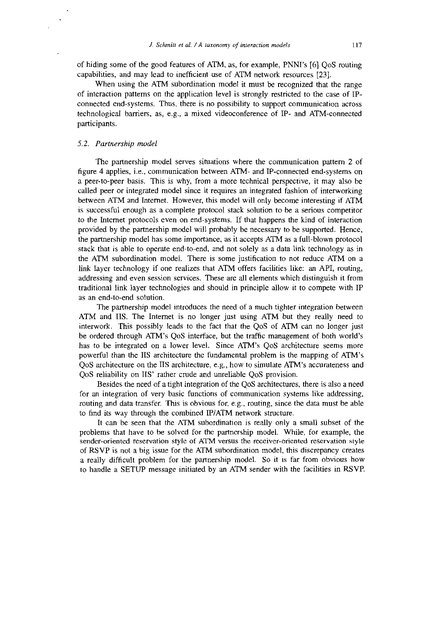of hiding some of the good features of ATM. as, for example, PNNI's [6] QoS routing capabilities, and may lead to inefficient use of ATM network resources [23].

When using the ATM subordination model it must be recognized that the range of interaction pattems on the application level is strongly restricted to the case of IPconnected end-systems. Thus, there is no possibility to support communication across technological barriers, as, e.g., a mixed videoconference of IP- and ATM-connected participants.

#### *5.2. Partnership model*

The partnership model serves situations where the communication pattern 2 of figure 4 applies, i.e., communication between ATM- and IP-connected end-systems on a peer-to-peer basis. This is why, from a more technical perspective, it may also be called peer or integrated model since it requires an integrated fashion of interworking between ATM and Intemet. However, this model will only become interesting if ATM is successful enough as a complete protocol stack solution to be a serious competitor to the Intemet protocols even on end-systems. If that happens the Lind of interaction provided by the partnership model will probably be necessary to be supported. Hence, the partnership model has some importance, as il accepts ATM as a full-blown protocol stack that is able to operate end-to-end, and not solely as a data link technology as in the ATM subordination model. There is some justification to not reduce ATM on a link layer technology if one realizes that ATM offers facilities like: an API, routing, addressing and even session services. These are all elements which distinguish it from traditional link layer technologies and should in principle allow it to compete with IP as an end-to-end solution.

The partnership model introduces the need of a much tighter integration between ATM and IIS. The Intemet is no longer just using ATM but they really need to interwork. This possibly leads to the fact that the QoS of ATM can no longer just be ordered through ATM's QoS interface, but the traffic management of both world's has to be integrated on a lower level. Since ATM's QoS architecture seems more powerful than the IIS architecture the fundamental problem is the mapping of ATM's QoS architecture on the IIS architecture, e.g., how to simulate ATM's accurateness and QoS reliability on IIS' rather crude and unreliable QoS provision.

Besides the need of a tight integration of the QoS architectures, there is also a need for an integration of very basic functions of communication systems like addressing, routing and data transfer. This is obvious for, e.g., routing, since the data must be able to find its way through the combined IPlATM network structure.

It can be seen that the ATM subordination is really only a small subset of the problems that have to be solved for the parinership model. While, for example, the sender-oriented reservation style of ATM versus the receiver-oriented reservation **style**  of RSVP is not a big issue for the ATM subordination model, this discrepancy creates a really difficult problem for the pannership model. So it is far from obvious how to handle a SETUP message initiated by an ATM sender with the facilities in RSVP.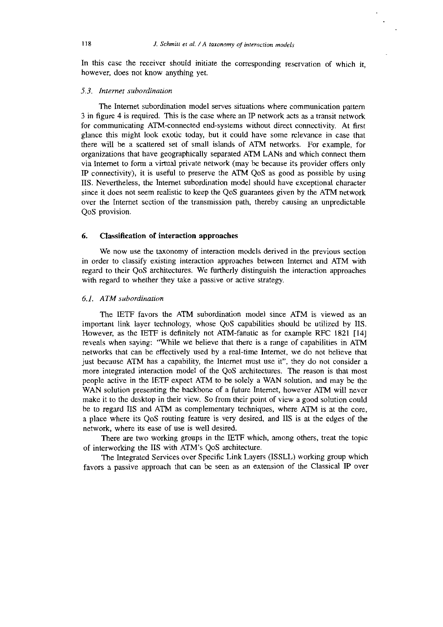In this case the receiver should initiate the corresponding reservation of which it, however, does not know anything yet.

#### 5.3. Internet subordination

The Intemet subordination model serves situations where communication pattem **3** in figure 4 is required. This is fhe case where an IP network acts as a transit network for communicating ATM-connected end-systems without direct connectivity. At first glance this might look exotic today, but it could have some relevance in case that there will be a scattered set of small islands of ATM networks. For example, for organizations that have geographically separated ATM LANs and which connect them via Intemet to form a virtual private network (may be because its provider offcrs only IP connectivity), it is useful to preserve the ATM QoS as good as possible by using IIS. Nevertheless, the Intemet subordination model should have exceptional character since it does not seem realistic to keep the QoS guarantees given by the ATM network over the Intemet section of the transmission path, thereby causing an unpredictable QoS provision.

## **6. Classification of interaction approaches**

We now use the taxonomy of interaction models derived in the previous section in order to classify existing interaction approaches between Intemet and ATM with regard to their QoS architectures. We furiherly distinguish the interaction approaches with regard to whether they take a passive or active strategy.

## *6.1. ATM subordina~ion*

The IETF favors the ATM subordination model since ATM is viewed as an important link layer technology, whose QoS capabilities should be utilized by IIS. However, as the IETF is definitely not ATM-fanatic as for example RFC 1821 [14] reveals when saying: "While we believe that there is a range of capabilities in ATM networks that can be effectively used by a real-time Intemet, we do not believe that just because ATM has a capability, the Intemet must use it". they do not consider a more integrated interaction model of the QoS architectures. The reason is that most people active in the IETF expect ATM to be solely a WAN solution, and may be the WAN solution presenting the backbone of a fuiure Intemet, however ATM will never make it to the desktop in their view. So from their point of view a good solution could be to regard IIS and ATM as complementary techniques, where ATM is at the core, a place where its QoS routing feature is very desired, and IIS is at the edges of the network, where its ease of use is well desired.

There are two working groups in the IETF which, among others, treat the topic of interworking the IIS with ATM's QoS architecture.

The Integrated Services over Specific Link Layers (ISSLL) working group which favors a passive approach that can be seen as an extension of the Classical IP over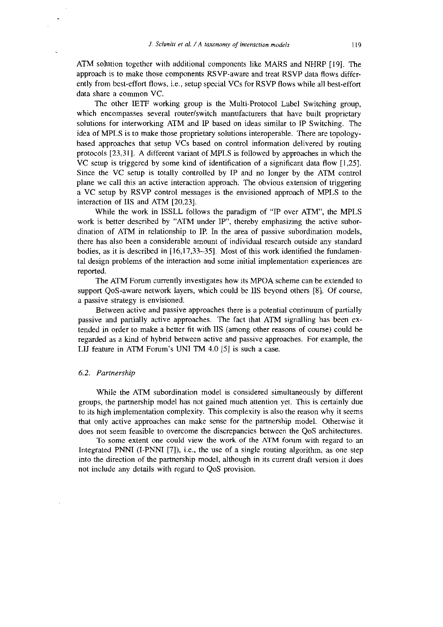ATM solution together with additional components like MARS and NHRP 1191. The approach is to make those components RSVP-aware and treat RSVP data flows differently from best-effort flows, i.e., setup special VCs for RSVP flows while all best-effort data share a common VC.

The other IETF working group is the Multi-Protocol Label Switching group, which encompasses several router/switch manufacturers that have built proprietary solutions for interworking ATM and IP based on ideas similar to IP Switching. The idea of MPLS is to make those proprietary solutions interoperable. There are topologybased approaches that setup VCs based on control information delivered by routing protocols [23,31]. A different variant of MPLS is followed by approaches in which the VC setup is triggered by some kind of identification of a significant data flow [1,25]. Since the VC setup is totally controlled by IP and no longer by the ATM control plane we call this an active interaction approach. The obvious extension of triggering a VC setup by RSVP control messages is the envisioned approach of MPLS to the interaction of IIS and ATM [20,23].

While the work in ISSLL follows the paradigm of "IP over ATM", the MPLS work is better described by "ATM under IP", thereby emphasizing the active subordination of ATM in relationship to IP. In the area of passive subordination models, there has also been a considerable amount of individual research outside any standard bodies, as it is described in [16,17,33-351. Most of this work identified the fundamental design problems of the interaction and some initial implementation experiences are reported.

The ATM Forum currently investigates how its MPOA scheme can be extended to support QoS-aware network layers, which could be IIS beyond others [8]. Of course, a passive strategy is envisioned.

Between active and passive approaches there is a potential continuum of partially passive and partiaily active approaches. The fact that ATM signalling has been extended in order to make a better fit with IIS (among other reasons of course) could be regarded as a kind of hybrid between active and passive approaches. For example, the LIJ feature in ATM Forum's UNI TM 4.0 **[5]** is such a case.

#### 6.2. *Partnership*

While the ATM subordination model is considered simultaneously by different groups, the partnership model has not gained much attention yet. This is certainly due to its high implementation complexity. This complexity is also the reason why it seems that only active approaches can make sense for the partnership model. Otherwise it does not seem feasible to overcome the discrepancies between the QoS architectures.

To some extent one could view the work of the ATM foiurn with regard to an Integrated PNNI (I-PNNI [7]), i.e., the use of a single routing algorithm, as one step into the direction of the partnership model, although in its current draft version it does not include any details with regard to QoS provision.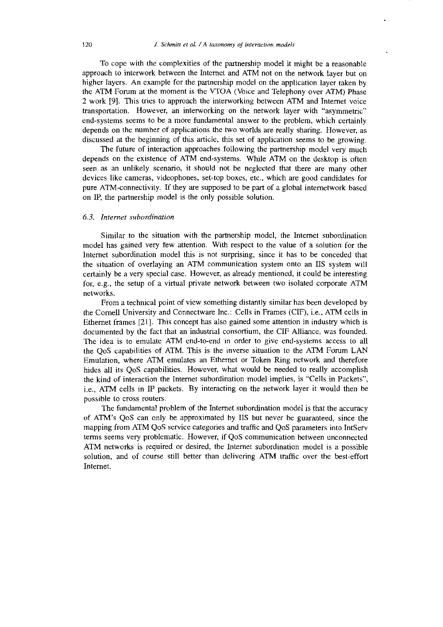To cope with the complexities of the partnership model it might be a reasonable approach to interwork between the Intemet and ATM not on the network layer but on higher layers. An example for the partnership model on the application layer taken by the ATM Forum at the moment is the VTOA (Voice and Telephony over ATM) Phase 2 work [9]. This tries to approach the interworking between ATM and Internet voice transportation. However, an interworking on the network layer with "asymmetric" end-systems seems to be a more fundamental answer to the problem, which certainly depends on the number of applications the two worlds are really sharing. However, as discussed at the beginning of this article, this set of application seems to be growing.

The future of interaction approaches following the partnership model very much depends on the existence of ATM end-systems. While ATM on the desktop is often Seen as an unlikely scenario, it should not be neglected that there are many other devices like cameras, videophones, set-top boxes, etc.. which are good candidates for pure ATM-connectivity. If they are supposed to be **patt** of a global internetwork based on IP, the partnership model is the only possible solution.

#### *6.3. Internet sribordinarion*

Similar to the situation with the partnership model, the Internet subordination model has gained very few attention. With respect to the value of a solution for the Internet subordination model this is not surprising, since it has to be conceded that the situation of overlaying an ATM communication system onto an IIS system will certainly be a very special case. However, as already mentioned, it could be interesting for, e.g., the setup of a virtual private network between two isolated corporate ATM networks.

From a technical point of view something distantly similar has been developed by the Cornell University and Connectware Inc.: Cells in Frames (CIF). i.e., ATM cells in Ethemet frames 1211. This concept has also gained some attention in industry which is documented by the fact that an industrial consortium, the CIF Alliance, was founded. The idea is to ernulate ATM end-to-end in order to give end-systems access to all the QoS capabilities of ATM. This is the inverse siiuation to the ATM Forum LAN Emulation, where ATM emulates an Ethernet or Token Ring network and therefore hides all its QoS capabilities. However, what would **be** needed to really accomplish the kind of interaction the Internet subordination model implies, is "Cells in Packets", i.e., ATM cells in IP packets. Dy interacting on the network layer it would then be possible to cross routers.

The fundamental problem of the Intemet subordination model is that the accuracy of ATM's QoS can only be approximated by IIS but never be guaranteed, since the mapping from ATM QoS service categories and traffic and QoS parameters into IntServ terms seems very problematic. However, if QoS communication between unconnected ATM networks is required or desired, the Internet subordination model is a possible solution, and of course still better than delivering ATM traffic over the best-effort Internet.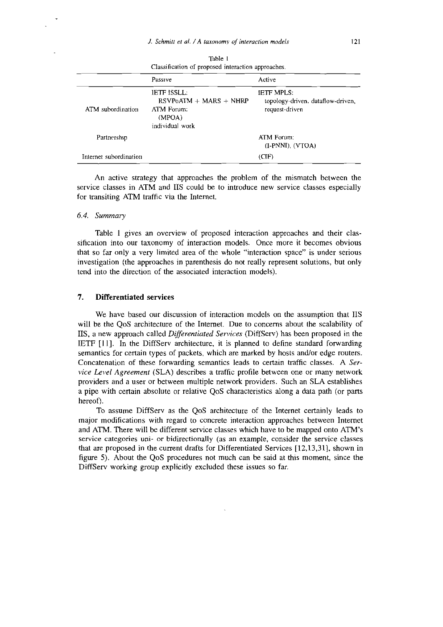|                        | Chassinearion of proposed interaction approaches.                                         |                                                                          |
|------------------------|-------------------------------------------------------------------------------------------|--------------------------------------------------------------------------|
|                        | Passive                                                                                   | Active                                                                   |
| ATM subordination      | <b>IETF ISSLL:</b><br>$RSVPoATM + MARS + NHRP$<br>ATM Forum:<br>(MPOA)<br>individual work | <b>IETF MPLS:</b><br>topology-driven, dataflow-driven,<br>request-driven |
| Partnership            |                                                                                           | ATM Forum:<br>(I-PNNI), (VTOA)                                           |
| Internet subordination |                                                                                           | (CIF)                                                                    |

Table I Classification of proposed interaclion approaches.

An active strategy that approaches the problem of the mismatch between the service classes in ATM and IIS could **be** to introduce new service classes especially for transiting ATM traffic via the Intemet.

## *6.4. Summary*

Table I gives an overview of proposed interaction approaches and their classification into our taxonomy of interaction models. Once more it becomes obvious that so far only a very limited area of the whole "interaction space" is under serious investigation (the approaches in parenthesis do not really represent solutions, but only tend into the direction of the associated interaction models).

#### **7. Differentiated services**

We have based our discussion of interaction models on the assumption that IIS will be the OoS architecture of the Internet. Due to concerns about the scalability of IIS, a new approach called *Differentiated Senkes* (DiffServ) has been proposed in the IETF  $[11]$ . In the DiffServ architecture, it is planned to define standard forwarding semantics for certain types of packets, which are marked by hosts and/or edge routers. Concatenation of these forwarding semantics leads to certain traffic classes. A *Service Level Agreement* (SLA) describes a traffic profile between one or many network providers and a user or between multiple network providers. Such an SLA establishes a pipe with certain absolute or relative QoS characteristics along a data path (or parts hereof).

To assume DiffServ as the QoS architecture of the Intemet certainly leads to major modifications with regard to concrete interaction approaches between Intemet and ATM. There will be different service classes which have to be mapped onto ATM's service categories uni- or bidirectionally (as an example, consider the service classes that are proposed in the current drafts for Differentiated Services [12,13,31], shown in figure 5). About the QoS procedures not much can be said at this moment, since the DiffServ working group explicitly excluded these issues so far.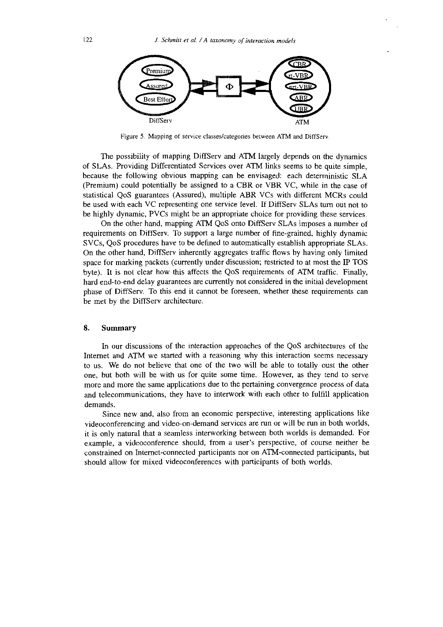

Figure 5. Mapping of service classes/categories between ATM and DiffServ.

The possibility of mapping DiffServ and ATM largely depends on the dynamics of SLAs. Providing Differentiated Services over ATM links seems to be quite simple, because the following obvious mapping can be envisaged: each detenninistic SLA (Premium) could potentially be assigned to a CBR or VBR VC, while in the case of statistical QoS guarantees (Assured), multiple ABR VCs with different MCRs could be used with each VC representing one service level. If DiffServ SLAs **turn** out not to be highly dynamic, PVCs might be an appropriate choice for providing these services.

On the other hand, mapping ATM QoS onto DiffServ SLAs imposes a number of requirements on DiffServ. To support a large number of fine-grained, highly dynamic SVCs, OoS procedures have to be defined to automatically establish appropriate SLAs. On the other hand, DiffServ inherently aggregates traffic flows by having only limited space for marking packets (currently under discussion; restricted to at most the IP TOS byte). It is not clear how this affects the QoS requirements of ATM traffic. Finally, hard end-to-end delay guarantees are currently not considered in the initial development phase of DiffServ. To this end it cannot be foreseen, whether these requirements can be met by the DiffServ architecture.

## **8. Summary**

In our discussions of the interaction approaches of the QoS architectures of the Intemet and ATM we started with a reasoning why this interaction seems necessary to us. We do not believe that one of the two will be able to totally oust the other one, but both will be with us for quite some time. However, as they tend to serve more and more the same applications due to the pertaining convergence process of data and telecommunications, they have to interwork with each other to fulfill application demands.

Since new and, also from an economic perspective, interesting applications like videoconferencing and video-on-demand services are run or will be run in both worlds, it is only natural that a seamless interworking between both worlds is demanded. For example, a videoconference should, from a user's perspective, of Course neither be constrained on Internet-connected participants nor on ATM-connected participants, but should allow for mixed videoconferences with participants of both worlds.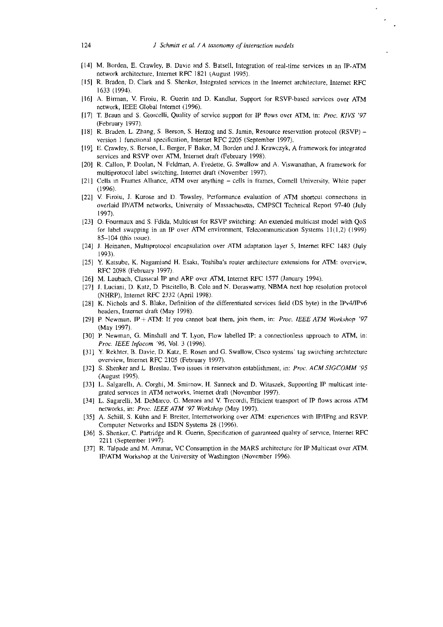- [I41 M. Borden. E. Crawley, B. Davie and S. Batsell, Integration of real-time services in an IP-ATM network architecture, Internet RFC 1821 (August 1995).
- [I51 R. Braden, D. Clark and S. Shenker, lnlegrated services in the lnternet architecture, Internet RFC 1633 (1994).
- 116) A. Birman, V Firoiu, R. Guerin and D. Kandlur, Support for RSVP-based services over ATM network, IEEE Global lnternet (1996).
- [17] T. Braun and S. Giorcelli, Quality of service support for IP flows over ATM, in: Proc. KIVS '97 (February 1997).
- [I81 R. Braden. L. Zhang, S. Berson, S. Herzog and S. lamin, Resource reservation protocol (RSVP) version 1 functional specification, Internet RFC 2205 (September 1997).
- [I91 E. Crawley. S. Berson, L. Berger. F Baker, M. Borden and I. Krawczyk, A framework for integrated services and RSVP over ATM, Internet draft (February 1998).
- [20] R. Callon, P. Doolan, N. Feldman, A. Fredette, G. Swallow and A. Viswanathan, A framework for multiprotocol label switching, Inlernet draft (November 1997).
- [21] Cells in Frames Alliance, ATM over anything cells in frames, Cornell University, White paper (1996).
- [22] V. Firoiu, J. Kurose and D. Towsley. Performance evaluation of ATM shortcut connections in overlaid IP/ATM networks. University of Massachusetts, CMPSCI Technical Report 97-40 (July 1997).
- 1231 0. Fourmaux and S. Fdida. Multicast for RSVP switching: An extended mulricast model with QoS for label swapping in an IP over ATM environment, Telecommunication Systems 11(1,2) (1999) 85-104 (this issue).
- [24] 1. Heinanen, Multiprotocol encapsulation over ATM adaptation layer 5, lnternet RFC 1483 (luly 1993).
- [25] Y. Katsube, K. Nagamiand H. Esaki, Toshiba's router architecture extensions for ATM: overview, RFC 2098 (Febmary 1997).
- [26] M. Laubach, Classical IP and ARP ovcr ATM, Internet RFC 1577 (January 1994).
- [27] J. Luciani, D. Katz, D. Piscitello, B. Cole and N. Doraswamy, NBMA next hop resolution protocol (NHRP), lnternst RFC 2332 (April 1998).
- [28] K. Nichols and S. Blake, Definition of the differentiated services iield (DS byte) in the IPv4IIPv6 headers. Internet drafr (May 1998).
- [29] P. Newman. IP+ATM: If you cannot beat them, join thcm. in: Proc. lEEE ATM **Workshop** '97 (May 1997).
- [30] P. Newman. G. Minshall and T Lyon, Flow labelled 1P: a connectionless approach to ATM, in: Proc. IEEE Infocom '96, Vol. 3 (1996).
- [31] Y Rekhter, B. Davie, D. Katr, E. Rosen and G. Swallow, Cisco systems' lag switching architecture overview, lnternet RFC 2105 (February 1997).
- [32] S. Shenker and L. Breslau, Two issues in reservation establishment, in: Proc. ACM SIGCOMM '95 (August 1995).
- [33] L. Salgarelli, A. Corghi, M. Smirnow. H. Sanneck and D. Witasrek, Supporting IP multicast integrated services in ATM networks, lnternet draft (November 1997).
- [34] L. Sagarelli, M. DeMarco, G. Meroni and V. Trecordi, Efficient transport of IP flows across ATM networks, in: Proc. IEEE ATM '97 *Workshop* (May 1997).
- [35] A. Schill, S. Kühn and F Breiter, lnternetworking over ATM: expericnces with IPIIPng and RSVP. Computer Networks **and** ISDN Systems 28 (1996).
- [36] S. Shenker, C. Panridge and R. Guerin, Specification of guaranreed quality of service, lnternet RFC 2211 (September 1907).
- [37] R. Talpade and M. Ammar. VC Consumption in the MARS architecrurc for IP Multicast over ATM, IP/ATM Workshop at the University of Washington (November 1996).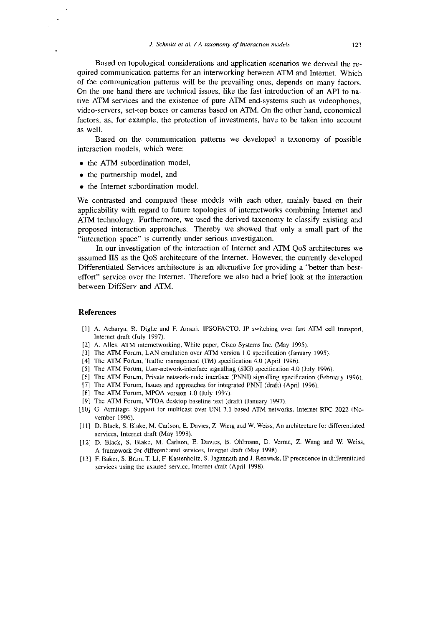Based on topological considerations and application scenarios we derived the required communication patterns for an interworking between ATM and Internet. Which of the communication patterns will be the prevailing ones, depends on many factors. On the one hand there are technical issues, like the fast introduction of an API to native ATM services and the existence of pure ATM end-systems such as videophones, video-servers, set-top boxes or cameras based on ATM. On the other hand, economical factors. as. for example. the protection of investments, have to be taken into account as well.

Based on the communication patterns we developed a taxonomy of possible interaction models, which were:

- the ATM subordination model,
- the partnership model, and
- the Internet subordination model.

We contrasted and compared these models with each other, mainly based on their applicability with regard to future topologies of internetworks combining Internet and ATM technology. Furthermore, we used the derived taxonomy to classify existing and proposed interaction approaches. Thereby we showed that only a small part of the "interaction space" is currently under serious investigation.

In our investigation of the interaction of Internet and ATM QoS architectures we assumed IIS as the QoS architecture of the Internet. However, the currently developed Differentiated Services architecture is an alternative for providing a "better than besteffort" Service over the Internet. Therefore we also had a brief look at the interaction between DiffServ and ATM.

#### **References**

- [I] A. Acharya. R. Dighe and E Ansari, IPSOFACTO: IP switching over fast ATM cell transport, Internet draft (July 1997).
- [2] A. Alles. ATM internetworking, White paper, Cisco Systems Inc. (May 1995).
- [3] The ATM Forum, LAN emulation ovcr ATM version 1.0 specification (January 1995).
- [4] The ATM Forum, Traffic management (TM) specification 4.0 (April 1996).
- [5] The ATM Forum, User-network-interface signalling (SIG) specification 4.0 (July 1996).
- 161 The ATM Fomm. Private network-node interface (PNNI) signalling specification (February 1996).
- [7] The ATM Forum, Issues and approaches for integrated PNNI (draft) (April 1996).
- [8] The ATM Forum, MPOA version 1.0 (July 1997).
- [91 The ATM Forum, VTOA desktop baseline text (draft) (lanuary 1997).
- I101 G. Armitage, Support for multicast over UNI 3.1 based AT4 networks, lnternet RFC 2022 (November 1996).
- [11] D. Black, S. Blake, M. Carlson, E. Davies, Z. Wang and W. Weiss, An architecture for differentiated services, lnternet draft (May 1998).
- [I21 D. Black, S. Blake, M. Carlson, E. Davies, B. Ohlmann, D. Verma, Z. Wang and W. Weiss, **A** framework for differentiared services, Iniernet draft (May 1998).
- [I31 E Baker, **S.** Brim, T Li, E Kastenholtz, S. lagannath and J. Renwick, IP precedence in differentiated services using the assured service, Internet drait (April 1998).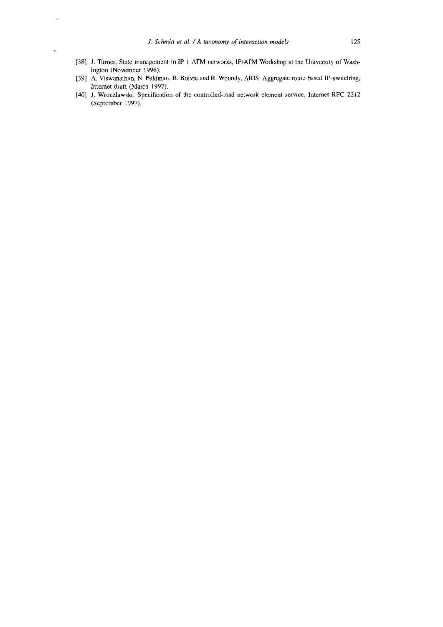$\ddot{\phantom{0}}$ 

- [38] J. Turner, State management in  $IP + ATM$  networks, IP/ATM Workshop at the University of Washington (November 1996).
- [39] A. Viswanathan, N. Feldman, R. Boivie and R. Woundy, ARIS: Aggregate route-based IP-switching, lnternet draft (March 1997).
- [40] J. Wroczlawski, Specification of the controlled-load network element service, Internet RFC 2212 (September 1997).

 $\mathcal{L}$